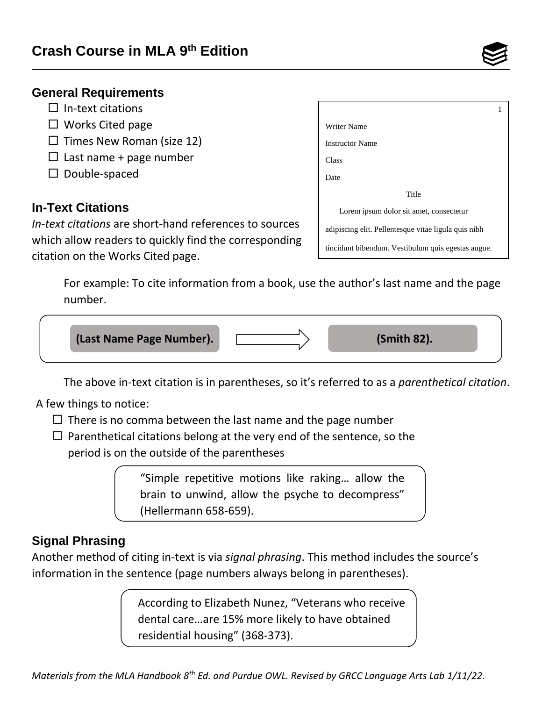

- $\Box$  In-text citations
- $\Box$  Works Cited page
- $\square$  Times New Roman (size 12)
- $\Box$  Last name + page number
- $\square$  Double-spaced

#### **In-Text Citations**

 which allow readers to quickly find the corresponding citation on the Works Cited page. *In-text citations* are short-hand references to sources

| Writer Name                                          |  |
|------------------------------------------------------|--|
| <b>Instructor Name</b>                               |  |
| Class                                                |  |
| Date                                                 |  |
| Title                                                |  |
| Lorem ipsum dolor sit amet, consectetur              |  |
| adipiscing elit. Pellentesque vitae ligula quis nibh |  |
| tincidunt bibendum. Vestibulum quis egestas augue.   |  |

 For example: To cite information from a book, use the author's last name and the page number.



The above in-text citation is in parentheses, so it's referred to as a *parenthetical citation*.

A few things to notice:

- $\Box$  There is no comma between the last name and the page number
- $\Box$  Parenthetical citations belong at the very end of the sentence, so the period is on the outside of the parentheses

"Simple repetitive motions like raking… allow the brain to unwind, allow the psyche to decompress" (Hellermann 658-659).

### **Signal Phrasing**

Another method of citing in-text is via *signal phrasing*. This method includes the source's information in the sentence (page numbers always belong in parentheses).

> According to Elizabeth Nunez, "Veterans who receive dental care…are 15% more likely to have obtained residential housing" (368-373).